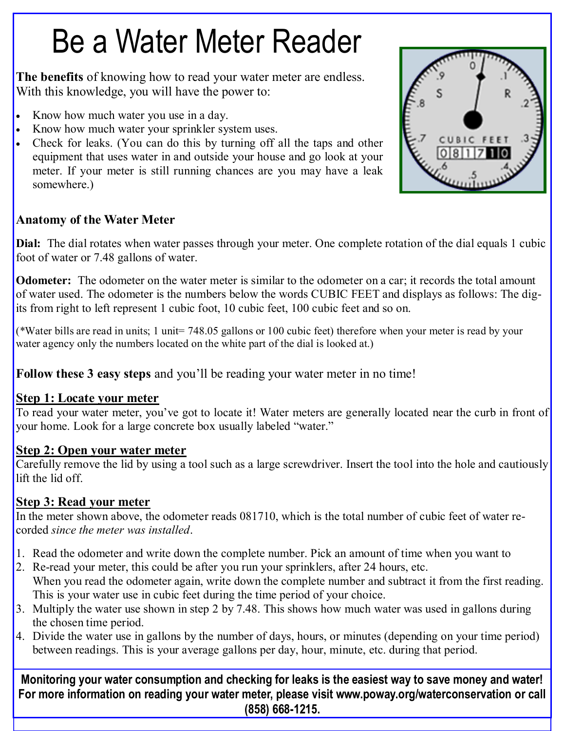# Be a Water Meter Reader

**The benefits** of knowing how to read your water meter are endless. With this knowledge, you will have the power to:

- Know how much water you use in a day.
- Know how much water your sprinkler system uses.
- Check for leaks. (You can do this by turning off all the taps and other equipment that uses water in and outside your house and go look at your meter. If your meter is still running chances are you may have a leak somewhere.)

# **Anatomy of the Water Meter**

Dial: The dial rotates when water passes through your meter. One complete rotation of the dial equals 1 cubic foot of water or 7.48 gallons of water.

**Odometer:** The odometer on the water meter is similar to the odometer on a car; it records the total amount of water used. The odometer is the numbers below the words CUBIC FEET and displays as follows: The digits from right to left represent 1 cubic foot, 10 cubic feet, 100 cubic feet and so on.

(\*Water bills are read in units; 1 unit= 748.05 gallons or 100 cubic feet) therefore when your meter is read by your water agency only the numbers located on the white part of the dial is looked at.)

**Follow these 3 easy steps** and you'll be reading your water meter in no time!

# **Step 1: Locate your meter**

To read your water meter, you've got to locate it! Water meters are generally located near the curb in front of your home. Look for a large concrete box usually labeled "water."

# **Step 2: Open your water meter**

Carefully remove the lid by using a tool such as a large screwdriver. Insert the tool into the hole and cautiously lift the lid off.

# **Step 3: Read your meter**

In the meter shown above, the odometer reads 081710, which is the total number of cubic feet of water recorded *since the meter was installed*.

- 1. Read the odometer and write down the complete number. Pick an amount of time when you want to
- 2. Re-read your meter, this could be after you run your sprinklers, after 24 hours, etc. When you read the odometer again, write down the complete number and subtract it from the first reading. This is your water use in cubic feet during the time period of your choice.
- 3. Multiply the water use shown in step 2 by 7.48. This shows how much water was used in gallons during the chosen time period.
- 4. Divide the water use in gallons by the number of days, hours, or minutes (depending on your time period) between readings. This is your average gallons per day, hour, minute, etc. during that period.

**Monitoring your water consumption and checking for leaks is the easiest way to save money and water! For more information on reading your water meter, please visit www.poway.org/waterconservation or call (858) 668-1215.**